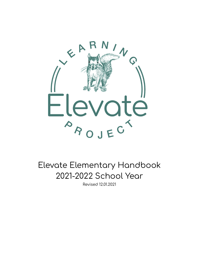

Elevate Elementary Handbook 2021-2022 School Year

Revised 12.01.2021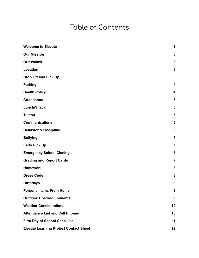### Table of Contents

| <b>Welcome to Elevate</b>                     | $\mathbf{3}$     |
|-----------------------------------------------|------------------|
| <b>Our Mission</b>                            | $\mathbf{3}$     |
| <b>Our Values</b>                             | $\mathbf{3}$     |
| <b>Location</b>                               | $\mathbf{3}$     |
| <b>Drop Off and Pick Up</b>                   | $\mathbf 3$      |
| <b>Parking</b>                                | 4                |
| <b>Health Policy</b>                          | 4                |
| <b>Attendance</b>                             | 5                |
| <b>Lunch/Snack</b>                            | 5                |
| <b>Tuition</b>                                | 5                |
| <b>Communications</b>                         | 5                |
| <b>Behavior &amp; Discipline</b>              | 6                |
| <b>Bullying</b>                               | $\overline{7}$   |
| <b>Early Pick Up</b>                          | $\overline{7}$   |
| <b>Emergency School Closings</b>              | $\overline{7}$   |
| <b>Grading and Report Cards</b>               | $\overline{7}$   |
| <b>Homework</b>                               | 8                |
| <b>Dress Code</b>                             | 8                |
| <b>Birthdays</b>                              | 8                |
| <b>Personal Items From Home</b>               | 8                |
| <b>Outdoor Tips/Requirements</b>              | $\boldsymbol{9}$ |
| <b>Weather Considerations</b>                 | 10               |
| <b>Attendance List and Cell Phones</b>        | 10               |
| <b>First Day of School Checklist</b>          | 11               |
| <b>Elevate Learning Project Contact Sheet</b> | 12               |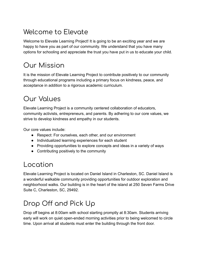# <span id="page-2-0"></span>Welcome to Elevate

Welcome to Elevate Learning Project! It is going to be an exciting year and we are happy to have you as part of our community. We understand that you have many options for schooling and appreciate the trust you have put in us to educate your child.

# <span id="page-2-1"></span>Our Mission

It is the mission of Elevate Learning Project to contribute positively to our community through educational programs including a primary focus on kindness, peace, and acceptance in addition to a rigorous academic curriculum.

# <span id="page-2-2"></span>Our Values

Elevate Learning Project is a community centered collaboration of educators, community activists, entrepreneurs, and parents. By adhering to our core values, we strive to develop kindness and empathy in our students.

Our core values include:

- Respect: For ourselves, each other, and our environment
- Individualized learning experiences for each student
- Providing opportunities to explore concepts and ideas in a variety of ways
- Contributing positively to the community

### <span id="page-2-3"></span>Location

Elevate Learning Project is located on Daniel Island in Charleston, SC. Daniel Island is a wonderful walkable community providing opportunities for outdoor exploration and neighborhood walks. Our building is in the heart of the island at 250 Seven Farms Drive Suite C, Charleston, SC, 29492.

# <span id="page-2-4"></span>Drop Off and Pick Up

Drop off begins at 8:00am with school starting promptly at 8:30am. Students arriving early will work on quiet open-ended morning activities prior to being welcomed to circle time. Upon arrival all students must enter the building through the front door.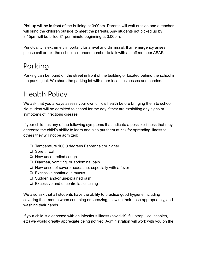Pick up will be in front of the building at 3:00pm. Parents will wait outside and a teacher will bring the children outside to meet the parents. Any students not picked up by 3:15pm will be billed \$1 per minute beginning at 3:00pm.

Punctuality is extremely important for arrival and dismissal. If an emergency arises please call or text the school cell phone number to talk with a staff member ASAP.

# <span id="page-3-0"></span>Parking

Parking can be found on the street in front of the building or located behind the school in the parking lot. We share the parking lot with other local businesses and condos.

## <span id="page-3-1"></span>Health Policy

We ask that you always assess your own child's health before bringing them to school. No student will be admitted to school for the day if they are exhibiting any signs or symptoms of infectious disease.

If your child has any of the following symptoms that indicate a possible illness that may decrease the child's ability to learn and also put them at risk for spreading illness to others they will not be admitted:

- ❏ Temperature 100.0 degrees Fahrenheit or higher
- ❏ Sore throat
- ❏ New uncontrolled cough
- ❏ Diarrhea, vomiting, or abdominal pain
- ❏ New onset of severe headache, especially with a fever
- ❏ Excessive continuous mucus
- ❏ Sudden and/or unexplained rash
- ❏ Excessive and uncontrollable itching

We also ask that all students have the ability to practice good hygiene including covering their mouth when coughing or sneezing, blowing their nose appropriately, and washing their hands.

If your child is diagnosed with an infectious illness (covid-19, flu, strep, lice, scabies, etc) we would greatly appreciate being notified. Administration will work with you on the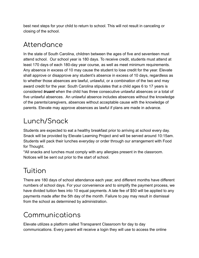best next steps for your child to return to school. This will not result in canceling or closing of the school.

### <span id="page-4-0"></span>Attendance

In the state of South Carolina, children between the ages of five and seventeen must attend school. Our school year is 180 days. To receive credit, students must attend at least 170 days of each 180-day year course, as well as meet minimum requirements. Any absence in excess of 10 may cause the student to lose credit for the year. Elevate shall approve or disapprove any student's absence in excess of 10 days, regardless as to whether those absences are lawful, unlawful, or a combination of the two and may award credit for the year. South Carolina stipulates that a child ages 6 to 17 years is considered *truant* when the child has three consecutive unlawful absences or a total of five unlawful absences. An unlawful absence includes absences without the knowledge of the parents/caregivers, absences without acceptable cause with the knowledge of parents. Elevate may approve absences as lawful if plans are made in advance.

# <span id="page-4-1"></span>Lunch/Snack

Students are expected to eat a healthy breakfast prior to arriving at school every day. Snack will be provided by Elevate Learning Project and will be served around 10:15am. Students will pack their lunches everyday or order through our arrangement with Food for Thought.

\*All snacks and lunches must comply with any allergies present in the classroom. Notices will be sent out prior to the start of school.

# <span id="page-4-2"></span>Tuition

There are 180 days of school attendance each year, and different months have different numbers of school days. For your convenience and to simplify the payment process, we have divided tuition fees into 10 equal payments. A late fee of \$50 will be applied to any payments made after the 5th day of the month. Failure to pay may result in dismissal from the school as determined by administration.

# <span id="page-4-3"></span>Communications

Elevate utilizes a platform called Transparent Classroom for day to day communications. Every parent will receive a login they will use to access the online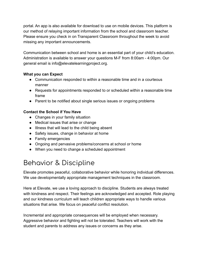portal. An app is also available for download to use on mobile devices. This platform is our method of relaying important information from the school and classroom teacher. Please ensure you check in on Transparent Classroom throughout the week to avoid missing any important announcements.

Communication between school and home is an essential part of your child's education. Administration is available to answer your questions M-F from 8:00am - 4:00pm. Our general email is info@elevatelearningproject.org.

#### **What you can Expect**

- Communication responded to within a reasonable time and in a courteous manner
- Requests for appointments responded to or scheduled within a reasonable time frame
- Parent to be notified about single serious issues or ongoing problems

#### **Contact the School if You Have**

- Changes in your family situation
- Medical issues that arise or change
- Illness that will lead to the child being absent
- Safety issues, change in behavior at home
- Family emergencies
- Ongoing and pervasive problems/concerns at school or home
- When you need to change a scheduled appointment

# <span id="page-5-0"></span>Behavior & Discipline

Elevate promotes peaceful, collaborative behavior while honoring individual differences. We use developmentally appropriate management techniques in the classroom.

Here at Elevate, we use a loving approach to discipline. Students are always treated with kindness and respect. Their feelings are acknowledged and accepted. Role playing and our kindness curriculum will teach children appropriate ways to handle various situations that arise. We focus on peaceful conflict resolution.

Incremental and appropriate consequences will be employed when necessary. Aggressive behavior and fighting will not be tolerated. Teachers will work with the student and parents to address any issues or concerns as they arise.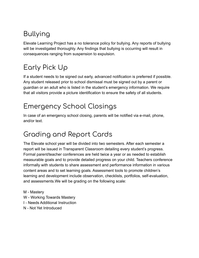# <span id="page-6-0"></span>Bullying

Elevate Learning Project has a no tolerance policy for bullying. Any reports of bullying will be investigated thoroughly. Any findings that bullying is occurring will result in consequences ranging from suspension to expulsion.

# <span id="page-6-1"></span>Early Pick Up

If a student needs to be signed out early, advanced notification is preferred if possible. Any student released prior to school dismissal must be signed out by a parent or guardian or an adult who is listed in the student's emergency information. We require that all visitors provide a picture identification to ensure the safety of all students.

# <span id="page-6-2"></span>Emergency School Closings

In case of an emergency school closing, parents will be notified via e-mail, phone, and/or text.

# <span id="page-6-3"></span>Grading and Report Cards

The Elevate school year will be divided into two semesters. After each semester a report will be issued in Transparent Classroom detailing every student's progress. Formal parent/teacher conferences are held twice a year or as needed to establish measurable goals and to provide detailed progress on your child. Teachers conference informally with students to share assessment and performance information in various content areas and to set learning goals. Assessment tools to promote children's learning and development include observation, checklists, portfolios, self-evaluation, and assessments.We will be grading on the following scale:

M - Mastery

- W Working Towards Mastery
- I Needs Additional Instruction
- N Not Yet Introduced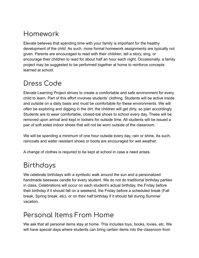# <span id="page-7-0"></span>Homework

Elevate believes that spending time with your family is important for the healthy development of the child. As such, more formal homework assignments are typically not given. Parents are encouraged to read with their children, tell a story, sing, or encourage their children to read for about half an hour each night. Occasionally, a family project may be suggested to be performed together at home to reinforce concepts learned at school.

### <span id="page-7-1"></span>Dress Code

Elevate Learning Project strives to create a comfortable and safe environment for every child to learn. Part of this effort involves students' clothing. Students will be active inside and outside on a daily basis and must be comfortable for these environments. We will often be exploring and digging in the dirt, the children will get dirty, so plan accordingly. Students are to wear comfortable, closed-toe shoes to school every day. These will be removed upon arrival and kept in lockers for outside time. All students will be issued a pair of soft soled indoor shoes that will not be worn outside of the classroom.

We will be spending a minimum of one hour outside every day, rain or shine. As such, raincoats and water resistant shoes or boots are encouraged for wet weather.

<span id="page-7-2"></span>A change of clothes is required to be kept at school in case a need arises.

### Birthdays

We celebrate birthdays with a symbolic walk around the sun and a personalized handmade beeswax candle for every student. We do not do traditional birthday parties in class. Celebrations will occur on each student's actual birthday, the Friday before their birthday if it should fall on a weekend, the Friday before a scheduled break (Fall break, Spring break, etc), or on their half birthday if it should fall during Summer vacation.

# <span id="page-7-3"></span>Personal Items From Home

We ask that all personal items stay at home. This includes toys, books, lovies, etc. We will have special days where students can bring certain items into the classroom from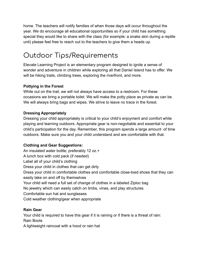home. The teachers will notify families of when those days will occur throughout the year. We do encourage all educational opportunities so if your child has something special they would like to share with the class (for example: a snake skin during a reptile unit) please feel free to reach out to the teachers to give them a heads up.

# <span id="page-8-0"></span>Outdoor Tips/Requirements

Elevate Learning Project is an elementary program designed to ignite a sense of wonder and adventure in children while exploring all that Daniel Island has to offer. We will be hiking trails, climbing trees, exploring the riverfront, and more.

#### **Pottying in the Forest**

While out on the trail, we will not always have access to a restroom. For these occasions we bring a portable toilet. We will make the potty place as private as can be. We will always bring bags and wipes. We strive to leave no trace in the forest.

#### **Dressing Appropriately**

Dressing your child appropriately is critical to your child's enjoyment and comfort while playing and learning outdoors. Appropriate gear is non-negotiable and essential to your child's participation for the day. Remember, this program spends a large amount of time outdoors. Make sure you and your child understand and are comfortable with that.

#### **Clothing and Gear Suggestions:**

An insulated water bottle; preferably 12 oz.+ A lunch box with cold pack (if needed) Label all of your child's clothing Dress your child in clothes that can get dirty Dress your child in comfortable clothes and comfortable close-toed shoes that they can easily take on and off by themselves Your child will need a full set of change of clothes in a labeled Ziploc bag No jewelry which can easily catch on limbs, vines, and play structures Comfortable sun hat and sunglasses Cold weather clothing/gear when appropriate

#### **Rain Gear**

Your child is required to have this gear if it is raining or if there is a threat of rain: Rain Boots

A lightweight raincoat with a hood or rain hat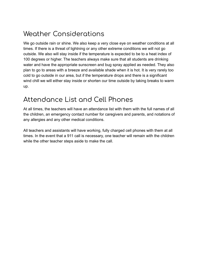## <span id="page-9-0"></span>Weather Considerations

We go outside rain or shine. We also keep a very close eye on weather conditions at all times. If there is a threat of lightning or any other extreme conditions we will not go outside. We also will stay inside if the temperature is expected to be to a heat index of 100 degrees or higher. The teachers always make sure that all students are drinking water and have the appropriate sunscreen and bug spray applied as needed. They also plan to go to areas with a breeze and available shade when it is hot. It is very rarely too cold to go outside in our area, but if the temperature drops and there is a significant wind chill we will either stay inside or shorten our time outside by taking breaks to warm up.

### <span id="page-9-1"></span>Attendance List and Cell Phones

At all times, the teachers will have an attendance list with them with the full names of all the children, an emergency contact number for caregivers and parents, and notations of any allergies and any other medical conditions.

All teachers and assistants will have working, fully charged cell phones with them at all times. In the event that a 911 call is necessary, one teacher will remain with the children while the other teacher steps aside to make the call.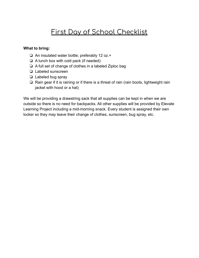### First Day of School Checklist

#### <span id="page-10-0"></span>**What to bring:**

- ❏ An insulated water bottle; preferably 12 oz.+
- ❏ A lunch box with cold pack (if needed)
- ❏ A full set of change of clothes in a labeled Ziploc bag
- ❏ Labeled sunscreen
- ❏ Labeled bug spray
- ❏ Rain gear if it is raining or if there is a threat of rain (rain boots, lightweight rain jacket with hood or a hat)

We will be providing a drawstring sack that all supplies can be kept in when we are outside so there is no need for backpacks. All other supplies will be provided by Elevate Learning Project including a mid-morning snack. Every student is assigned their own locker so they may leave their change of clothes, sunscreen, bug spray, etc.